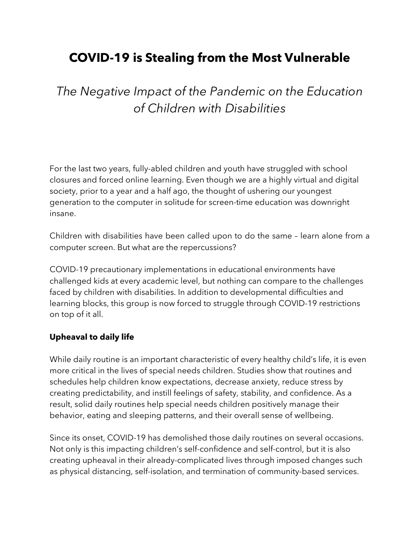## **COVID-19 is Stealing from the Most Vulnerable**

*The Negative Impact of the Pandemic on the Education of Children with Disabilities*

For the last two years, fully-abled children and youth have struggled with school closures and forced online learning. Even though we are a highly virtual and digital society, prior to a year and a half ago, the thought of ushering our youngest generation to the computer in solitude for screen-time education was downright insane.

Children with disabilities have been called upon to do the same – learn alone from a computer screen. But what are the repercussions?

COVID-19 precautionary implementations in educational environments have challenged kids at every academic level, but nothing can compare to the challenges faced by children with disabilities. In addition to developmental difficulties and learning blocks, this group is now forced to struggle through COVID-19 restrictions on top of it all.

## **Upheaval to daily life**

While daily routine is an important characteristic of every healthy child's life, it is even more critical in the lives of special needs children. Studies show that routines and schedules help children know expectations, decrease anxiety, reduce stress by creating predictability, and instill feelings of safety, stability, and confidence. As a result, solid daily routines help special needs children positively manage their behavior, eating and sleeping patterns, and their overall sense of wellbeing.

Since its onset, COVID-19 has demolished those daily routines on several occasions. Not only is this impacting children's self-confidence and self-control, but it is also creating upheaval in their already-complicated lives through imposed changes such as physical distancing, self-isolation, and termination of community-based services.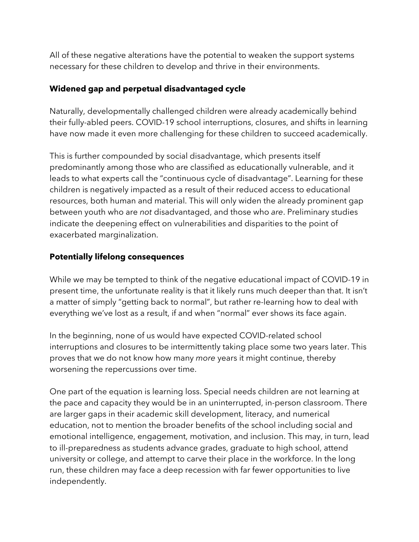All of these negative alterations have the potential to weaken the support systems necessary for these children to develop and thrive in their environments.

## **Widened gap and perpetual disadvantaged cycle**

Naturally, developmentally challenged children were already academically behind their fully-abled peers. COVID-19 school interruptions, closures, and shifts in learning have now made it even more challenging for these children to succeed academically.

This is further compounded by social disadvantage, which presents itself predominantly among those who are classified as educationally vulnerable, and it leads to what experts call the "continuous cycle of disadvantage". Learning for these children is negatively impacted as a result of their reduced access to educational resources, both human and material. This will only widen the already prominent gap between youth who are *not* disadvantaged, and those who *are*. Preliminary studies indicate the deepening effect on vulnerabilities and disparities to the point of exacerbated marginalization.

## **Potentially lifelong consequences**

While we may be tempted to think of the negative educational impact of COVID-19 in present time, the unfortunate reality is that it likely runs much deeper than that. It isn't a matter of simply "getting back to normal", but rather re-learning how to deal with everything we've lost as a result, if and when "normal" ever shows its face again.

In the beginning, none of us would have expected COVID-related school interruptions and closures to be intermittently taking place some two years later. This proves that we do not know how many *more* years it might continue, thereby worsening the repercussions over time.

One part of the equation is learning loss. Special needs children are not learning at the pace and capacity they would be in an uninterrupted, in-person classroom. There are larger gaps in their academic skill development, literacy, and numerical education, not to mention the broader benefits of the school including social and emotional intelligence, engagement, motivation, and inclusion. This may, in turn, lead to ill-preparedness as students advance grades, graduate to high school, attend university or college, and attempt to carve their place in the workforce. In the long run, these children may face a deep recession with far fewer opportunities to live independently.